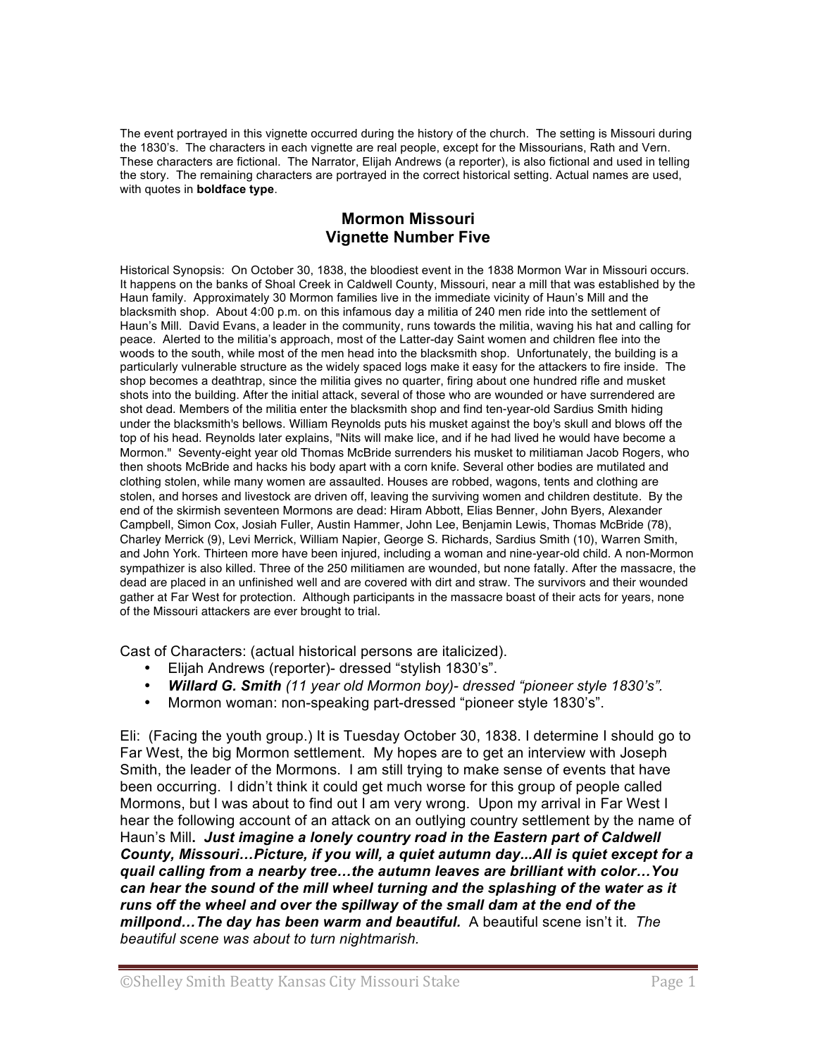The event portrayed in this vignette occurred during the history of the church. The setting is Missouri during the 1830's. The characters in each vignette are real people, except for the Missourians, Rath and Vern. These characters are fictional. The Narrator, Elijah Andrews (a reporter), is also fictional and used in telling the story. The remaining characters are portrayed in the correct historical setting. Actual names are used, with quotes in **boldface type**.

## **Mormon Missouri Vignette Number Five**

Historical Synopsis: On October 30, 1838, the bloodiest event in the 1838 Mormon War in Missouri occurs. It happens on the banks of Shoal Creek in Caldwell County, Missouri, near a mill that was established by the Haun family. Approximately 30 Mormon families live in the immediate vicinity of Haun's Mill and the blacksmith shop. About 4:00 p.m. on this infamous day a militia of 240 men ride into the settlement of Haun's Mill. David Evans, a leader in the community, runs towards the militia, waving his hat and calling for peace. Alerted to the militia's approach, most of the Latter-day Saint women and children flee into the woods to the south, while most of the men head into the blacksmith shop. Unfortunately, the building is a particularly vulnerable structure as the widely spaced logs make it easy for the attackers to fire inside. The shop becomes a deathtrap, since the militia gives no quarter, firing about one hundred rifle and musket shots into the building. After the initial attack, several of those who are wounded or have surrendered are shot dead. Members of the militia enter the blacksmith shop and find ten-year-old Sardius Smith hiding under the blacksmith's bellows. William Reynolds puts his musket against the boy's skull and blows off the top of his head. Reynolds later explains, "Nits will make lice, and if he had lived he would have become a Mormon." Seventy-eight year old Thomas McBride surrenders his musket to militiaman Jacob Rogers, who then shoots McBride and hacks his body apart with a corn knife. Several other bodies are mutilated and clothing stolen, while many women are assaulted. Houses are robbed, wagons, tents and clothing are stolen, and horses and livestock are driven off, leaving the surviving women and children destitute. By the end of the skirmish seventeen Mormons are dead: Hiram Abbott, Elias Benner, John Byers, Alexander Campbell, Simon Cox, Josiah Fuller, Austin Hammer, John Lee, Benjamin Lewis, Thomas McBride (78), Charley Merrick (9), Levi Merrick, William Napier, George S. Richards, Sardius Smith (10), Warren Smith, and John York. Thirteen more have been injured, including a woman and nine-year-old child. A non-Mormon sympathizer is also killed. Three of the 250 militiamen are wounded, but none fatally. After the massacre, the dead are placed in an unfinished well and are covered with dirt and straw. The survivors and their wounded gather at Far West for protection. Although participants in the massacre boast of their acts for years, none of the Missouri attackers are ever brought to trial.

Cast of Characters: (actual historical persons are italicized).

- Elijah Andrews (reporter)- dressed "stylish 1830's".
- *Willard G. Smith (11 year old Mormon boy)- dressed "pioneer style 1830's".*
- Mormon woman: non-speaking part-dressed "pioneer style 1830's".

Eli: (Facing the youth group.) It is Tuesday October 30, 1838. I determine I should go to Far West, the big Mormon settlement. My hopes are to get an interview with Joseph Smith, the leader of the Mormons. I am still trying to make sense of events that have been occurring. I didn't think it could get much worse for this group of people called Mormons, but I was about to find out I am very wrong. Upon my arrival in Far West I hear the following account of an attack on an outlying country settlement by the name of Haun's Mill**.** *Just imagine a lonely country road in the Eastern part of Caldwell County, Missouri…Picture, if you will, a quiet autumn day...All is quiet except for a quail calling from a nearby tree…the autumn leaves are brilliant with color…You can hear the sound of the mill wheel turning and the splashing of the water as it runs off the wheel and over the spillway of the small dam at the end of the millpond…The day has been warm and beautiful.* A beautiful scene isn't it. *The beautiful scene was about to turn nightmarish.*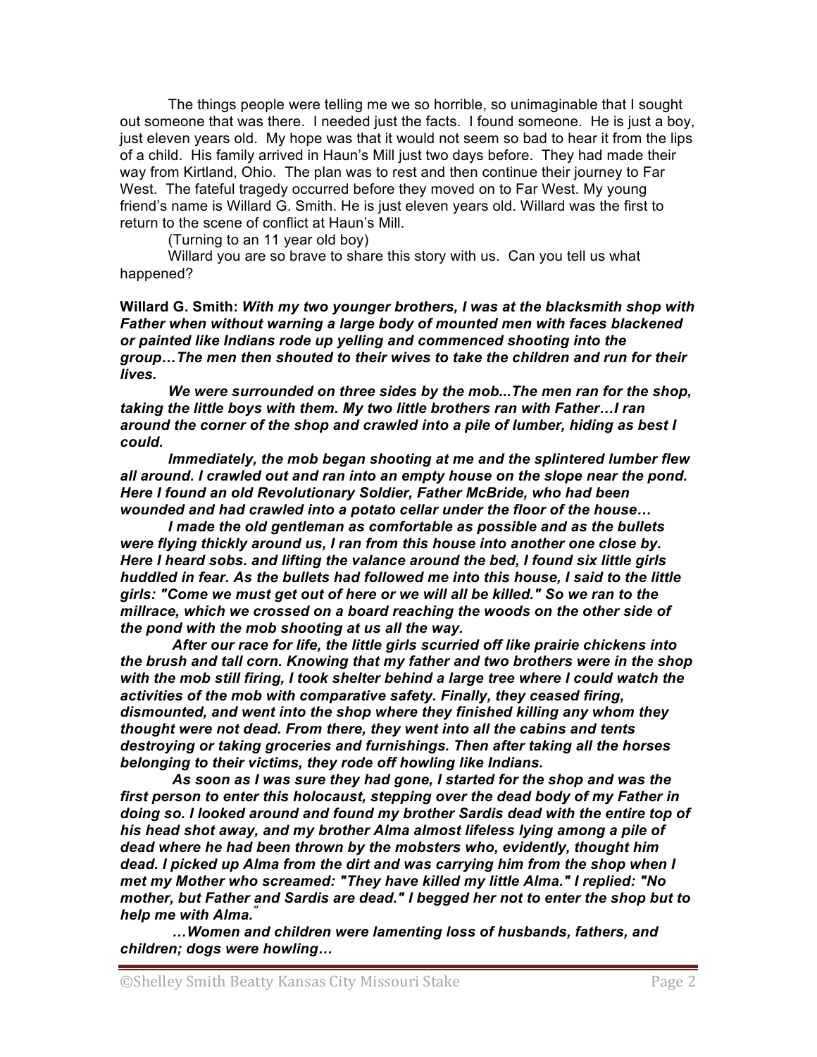The things people were telling me we so horrible, so unimaginable that I sought out someone that was there. I needed just the facts. I found someone. He is just a boy, just eleven years old. My hope was that it would not seem so bad to hear it from the lips of a child. His family arrived in Haun's Mill just two days before. They had made their way from Kirtland, Ohio. The plan was to rest and then continue their journey to Far West. The fateful tragedy occurred before they moved on to Far West. My young friend's name is Willard G. Smith. He is just eleven years old. Willard was the first to return to the scene of conflict at Haun's Mill.

(Turning to an 11 year old boy)

Willard you are so brave to share this story with us. Can you tell us what happened?

**Willard G. Smith:** *With my two younger brothers, I was at the blacksmith shop with Father when without warning a large body of mounted men with faces blackened or painted like Indians rode up yelling and commenced shooting into the group…The men then shouted to their wives to take the children and run for their lives.* 

*We were surrounded on three sides by the mob...The men ran for the shop, taking the little boys with them. My two little brothers ran with Father…I ran around the corner of the shop and crawled into a pile of lumber, hiding as best I could.* 

*Immediately, the mob began shooting at me and the splintered lumber flew all around. I crawled out and ran into an empty house on the slope near the pond. Here I found an old Revolutionary Soldier, Father McBride, who had been wounded and had crawled into a potato cellar under the floor of the house…*

*I made the old gentleman as comfortable as possible and as the bullets were flying thickly around us, I ran from this house into another one close by. Here I heard sobs. and lifting the valance around the bed, I found six little girls huddled in fear. As the bullets had followed me into this house, I said to the little girls: "Come we must get out of here or we will all be killed." So we ran to the millrace, which we crossed on a board reaching the woods on the other side of the pond with the mob shooting at us all the way.*

 *After our race for life, the little girls scurried off like prairie chickens into the brush and tall corn. Knowing that my father and two brothers were in the shop with the mob still firing, I took shelter behind a large tree where I could watch the activities of the mob with comparative safety. Finally, they ceased firing, dismounted, and went into the shop where they finished killing any whom they thought were not dead. From there, they went into all the cabins and tents destroying or taking groceries and furnishings. Then after taking all the horses belonging to their victims, they rode off howling like Indians.* 

 *As soon as I was sure they had gone, I started for the shop and was the first person to enter this holocaust, stepping over the dead body of my Father in doing so. I looked around and found my brother Sardis dead with the entire top of his head shot away, and my brother Alma almost lifeless lying among a pile of dead where he had been thrown by the mobsters who, evidently, thought him dead. I picked up Alma from the dirt and was carrying him from the shop when I met my Mother who screamed: "They have killed my little Alma." I replied: "No mother, but Father and Sardis are dead." I begged her not to enter the shop but to help me with Alma. "*

 *…Women and children were lamenting loss of husbands, fathers, and children; dogs were howling…*